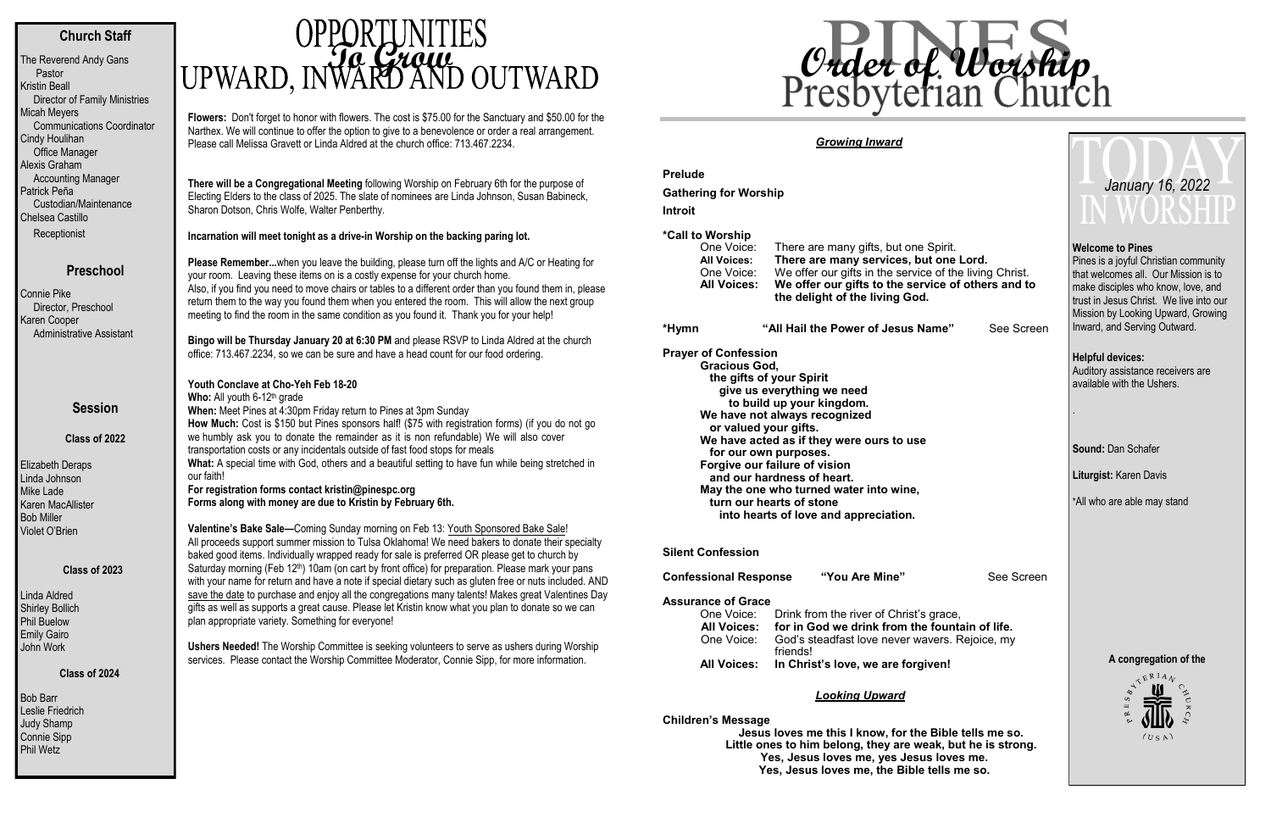#### **Church Staff**

The Reverend Andy Gans Pastor Kristin Beall Director of Family Ministries Micah Meyers Communications Coordinator Cindy Houlihan Office Manager Alexis Graham Accounting Manager Patrick Peña Custodian/Maintenance Chelsea Castillo **Receptionist** 

#### **Preschool**

Bob Barr Leslie Friedrich Judy Shamp Connie Sipp Phil Wetz

# **OPPORTUNITIES**<br>UPWARD, INWARD AND OUTWARD

Connie Pike Director, Preschool Karen Cooper Administrative Assistant

#### **Session**

**Class of 2022**

Elizabeth Deraps Linda Johnson Mike Lade Karen MacAllister Bob Miller Violet O'Brien

#### **Class of 2023**

Linda Aldred Shirley Bollich Phil Buelow Emily Gairo John Work

#### **Class of 2024**

**Flowers:** Don't forget to honor with flowers. The cost is \$75.00 for the Sanctuary and \$50.00 for the Narthex. We will continue to offer the option to give to a benevolence or order a real arrangement. Please call Melissa Gravett or Linda Aldred at the church office: 713.467.2234.

**There will be a Congregational Meeting** following Worship on February 6th for the purpose of Electing Elders to the class of 2025. The slate of nominees are Linda Johnson, Susan Babineck, Sharon Dotson, Chris Wolfe, Walter Penberthy.

#### **Incarnation will meet tonight as a drive-in Worship on the backing paring lot.**

Who: All youth 6-12<sup>th</sup> grade **When:** Meet Pines at 4:30pm Friday return to Pines at 3pm Sunday **How Much:** Cost is \$150 but Pines sponsors half! (\$75 with registration forms) (if you do not go we humbly ask you to donate the remainder as it is non refundable) We will also cover transportation costs or any incidentals outside of fast food stops for meals What: A special time with God, others and a beautiful setting to have fun while being stretched in our faith! **For registration forms contact kristin@pinespc.org Forms along with money are due to Kristin by February 6th.** 

**Please Remember...**when you leave the building, please turn off the lights and A/C or Heating for your room. Leaving these items on is a costly expense for your church home. Also, if you find you need to move chairs or tables to a different order than you found them in, please return them to the way you found them when you entered the room. This will allow the next group meeting to find the room in the same condition as you found it. Thank you for your help!

**Bingo will be Thursday January 20 at 6:30 PM** and please RSVP to Linda Aldred at the church office: 713.467.2234, [so we can be sure and have a head count for our food orderin](mailto:lindaaldred1@aol.com)g.

#### **Youth Conclave at Cho-Yeh Feb 18-20**

Pines is a joyful Christian community that welcomes all. Our Mission is to make disciples who know, love, and trust in Jesus Christ. We live into our Mission by Looking Upward, Growing Inward, and Serving Outward.

**Valentine's Bake Sale—**Coming Sunday morning on Feb 13: Youth Sponsored Bake Sale! All proceeds support summer mission to Tulsa Oklahoma! We need bakers to donate their specialty baked good items. Individually wrapped ready for sale is preferred OR please get to church by Saturday morning (Feb 12<sup>th</sup>) 10am (on cart by front office) for preparation. Please mark your pans with your name for return and have a note if special dietary such as gluten free or nuts included. AND save the date to purchase and enjoy all the congregations many talents! Makes great Valentines Day gifts as well as supports a great cause. Please let Kristin know what you plan to donate so we can plan appropriate variety. Something for everyone!

**Ushers Needed!** The Worship Committee is seeking volunteers to serve as ushers during Worship services. Please contact the Worship Committee Moderator, Connie Sipp, for more information.

#### *Growing Inward*

**Prelude**

**Gathering for Worship**

**Introit** 

#### **\*Call to Worship**

One Voice: There are many gifts, but one Spirit. **All Voices: There are many services, but one Lord.** One Voice: We offer our gifts in the service of the living Christ. **All Voices: We offer our gifts to the service of others and to the delight of the living God.**

**\*Hymn "All Hail the Power of Jesus Name"** See Screen

**Prayer of Confession Gracious God,**

**the gifts of your Spirit give us everything we need to build up your kingdom. We have not always recognized or valued your gifts. We have acted as if they were ours to use for our own purposes. Forgive our failure of vision and our hardness of heart. May the one who turned water into wine, turn our hearts of stone into hearts of love and appreciation.**

**Silent Confession**

**Confessional Response "You Are Mine"** See Screen

**Assurance of Grace**

|             | One Voice: Drink from the river of Christ's grace,                    |
|-------------|-----------------------------------------------------------------------|
| All Voices: | for in God we drink from the fountain of life.                        |
|             | One Voice: God's steadfast love never wavers. Rejoice, my<br>friends! |
|             | All Voices: In Christ's love, we are forgiven!                        |

#### *Looking Upward*

**Children's Message**

 **Jesus loves me this I know, for the Bible tells me so. Little ones to him belong, they are weak, but he is strong. Yes, Jesus loves me, yes Jesus loves me. Yes, Jesus loves me, the Bible tells me so.**

#### **Welcome to Pines**

**Helpful devices:** Auditory assistance receivers are available with the Ushers.

.

**Sound:** Dan Schafer

**Liturgist:** Karen Davis

\*All who are able may stand



## *January 16, 2022*